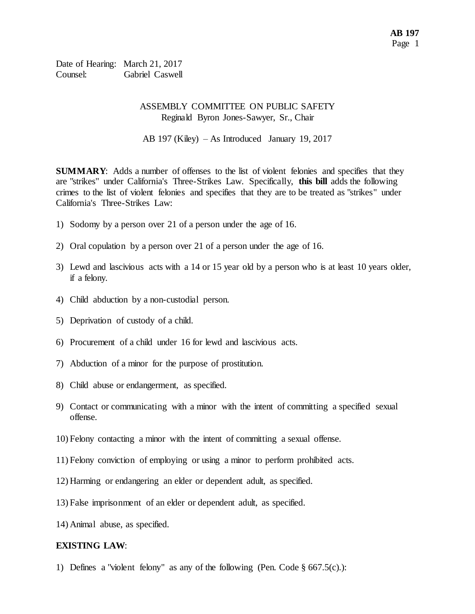Date of Hearing: March 21, 2017 Counsel: Gabriel Caswell

### ASSEMBLY COMMITTEE ON PUBLIC SAFETY Reginald Byron Jones-Sawyer, Sr., Chair

AB 197 (Kiley) – As Introduced January 19, 2017

**SUMMARY:** Adds a number of offenses to the list of violent felonies and specifies that they are "strikes" under California's Three-Strikes Law. Specifically, **this bill** adds the following crimes to the list of violent felonies and specifies that they are to be treated as "strikes" under California's Three-Strikes Law:

- 1) Sodomy by a person over 21 of a person under the age of 16.
- 2) Oral copulation by a person over 21 of a person under the age of 16.
- 3) Lewd and lascivious acts with a 14 or 15 year old by a person who is at least 10 years older, if a felony.
- 4) Child abduction by a non-custodial person.
- 5) Deprivation of custody of a child.
- 6) Procurement of a child under 16 for lewd and lascivious acts.
- 7) Abduction of a minor for the purpose of prostitution.
- 8) Child abuse or endangerment, as specified.
- 9) Contact or communicating with a minor with the intent of committing a specified sexual offense.
- 10) Felony contacting a minor with the intent of committing a sexual offense.
- 11) Felony conviction of employing or using a minor to perform prohibited acts.
- 12) Harming or endangering an elder or dependent adult, as specified.
- 13) False imprisonment of an elder or dependent adult, as specified.
- 14) Animal abuse, as specified.

### **EXISTING LAW**:

1) Defines a "violent felony" as any of the following (Pen. Code § 667.5(c).):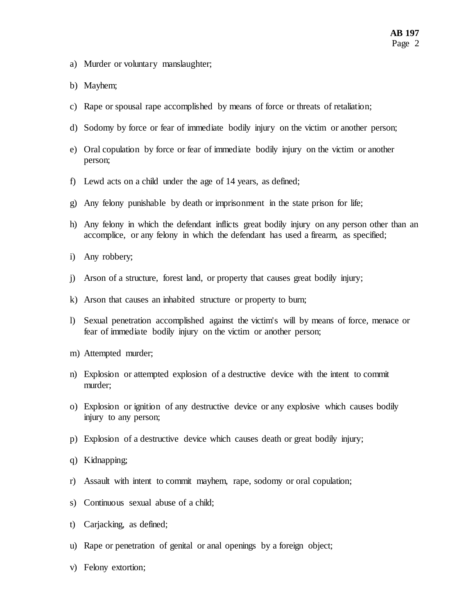- a) Murder or voluntary manslaughter;
- b) Mayhem;
- c) Rape or spousal rape accomplished by means of force or threats of retaliation;
- d) Sodomy by force or fear of immediate bodily injury on the victim or another person;
- e) Oral copulation by force or fear of immediate bodily injury on the victim or another person;
- f) Lewd acts on a child under the age of 14 years, as defined;
- g) Any felony punishable by death or imprisonment in the state prison for life;
- h) Any felony in which the defendant inflicts great bodily injury on any person other than an accomplice, or any felony in which the defendant has used a firearm, as specified;
- i) Any robbery;
- j) Arson of a structure, forest land, or property that causes great bodily injury;
- k) Arson that causes an inhabited structure or property to burn;
- l) Sexual penetration accomplished against the victim's will by means of force, menace or fear of immediate bodily injury on the victim or another person;
- m) Attempted murder;
- n) Explosion or attempted explosion of a destructive device with the intent to commit murder;
- o) Explosion or ignition of any destructive device or any explosive which causes bodily injury to any person;
- p) Explosion of a destructive device which causes death or great bodily injury;
- q) Kidnapping;
- r) Assault with intent to commit mayhem, rape, sodomy or oral copulation;
- s) Continuous sexual abuse of a child;
- t) Carjacking, as defined;
- u) Rape or penetration of genital or anal openings by a foreign object;
- v) Felony extortion;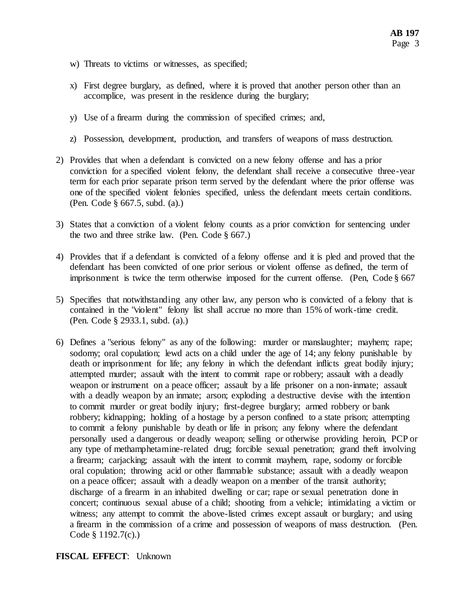- w) Threats to victims or witnesses, as specified;
- x) First degree burglary, as defined, where it is proved that another person other than an accomplice, was present in the residence during the burglary;
- y) Use of a firearm during the commission of specified crimes; and,
- z) Possession, development, production, and transfers of weapons of mass destruction.
- 2) Provides that when a defendant is convicted on a new felony offense and has a prior conviction for a specified violent felony, the defendant shall receive a consecutive three-year term for each prior separate prison term served by the defendant where the prior offense was one of the specified violent felonies specified, unless the defendant meets certain conditions. (Pen. Code § 667.5, subd. (a).)
- 3) States that a conviction of a violent felony counts as a prior conviction for sentencing under the two and three strike law. (Pen. Code  $\S$  667.)
- 4) Provides that if a defendant is convicted of a felony offense and it is pled and proved that the defendant has been convicted of one prior serious or violent offense as defined, the term of imprisonment is twice the term otherwise imposed for the current offense. (Pen, Code § 667
- 5) Specifies that notwithstanding any other law, any person who is convicted of a felony that is contained in the "violent" felony list shall accrue no more than 15% of work-time credit. (Pen. Code § 2933.1, subd. (a).)
- 6) Defines a "serious felony" as any of the following: murder or manslaughter; mayhem; rape; sodomy; oral copulation; lewd acts on a child under the age of 14; any felony punishable by death or imprisonment for life; any felony in which the defendant inflicts great bodily injury; attempted murder; assault with the intent to commit rape or robbery; assault with a deadly weapon or instrument on a peace officer; assault by a life prisoner on a non-inmate; assault with a deadly weapon by an inmate; arson; exploding a destructive devise with the intention to commit murder or great bodily injury; first-degree burglary; armed robbery or bank robbery; kidnapping; holding of a hostage by a person confined to a state prison; attempting to commit a felony punishable by death or life in prison; any felony where the defendant personally used a dangerous or deadly weapon; selling or otherwise providing heroin, PCP or any type of methamphetamine-related drug; forcible sexual penetration; grand theft involving a firearm; carjacking; assault with the intent to commit mayhem, rape, sodomy or forcible oral copulation; throwing acid or other flammable substance; assault with a deadly weapon on a peace officer; assault with a deadly weapon on a member of the transit authority; discharge of a firearm in an inhabited dwelling or car; rape or sexual penetration done in concert; continuous sexual abuse of a child; shooting from a vehicle; intimidating a victim or witness; any attempt to commit the above-listed crimes except assault or burglary; and using a firearm in the commission of a crime and possession of weapons of mass destruction. (Pen. Code § 1192.7(c).)

## **FISCAL EFFECT**: Unknown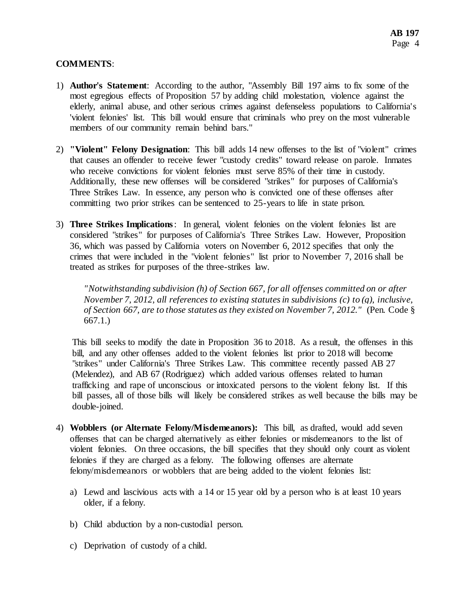# **COMMENTS**:

- 1) **Author's Statement**: According to the author, "Assembly Bill 197 aims to fix some of the most egregious effects of Proposition 57 by adding child molestation, violence against the elderly, animal abuse, and other serious crimes against defenseless populations to California's 'violent felonies' list. This bill would ensure that criminals who prey on the most vulnerable members of our community remain behind bars."
- 2) **"Violent" Felony Designation**: This bill adds 14 new offenses to the list of "violent" crimes that causes an offender to receive fewer "custody credits" toward release on parole. Inmates who receive convictions for violent felonies must serve 85% of their time in custody. Additionally, these new offenses will be considered "strikes" for purposes of California's Three Strikes Law. In essence, any person who is convicted one of these offenses after committing two prior strikes can be sentenced to 25-years to life in state prison.
- 3) **Three Strikes Implications**: In general, violent felonies on the violent felonies list are considered "strikes" for purposes of California's Three Strikes Law. However, Proposition 36, which was passed by California voters on November 6, 2012 specifies that only the crimes that were included in the "violent felonies" list prior to November 7, 2016 shall be treated as strikes for purposes of the three-strikes law.

*"Notwithstanding subdivision (h) of Section 667, for all offenses committed on or after November 7, 2012, all references to existing statutes in subdivisions (c) to (g), inclusive, of Section 667, are to those statutes as they existed on November 7, 2012."* (Pen. Code § 667.1.)

This bill seeks to modify the date in Proposition 36 to 2018. As a result, the offenses in this bill, and any other offenses added to the violent felonies list prior to 2018 will become "strikes" under California's Three Strikes Law. This committee recently passed AB 27 (Melendez), and AB 67 (Rodriguez) which added various offenses related to human trafficking and rape of unconscious or intoxicated persons to the violent felony list. If this bill passes, all of those bills will likely be considered strikes as well because the bills may be double-joined.

- 4) **Wobblers (or Alternate Felony/Misdemeanors):** This bill, as drafted, would add seven offenses that can be charged alternatively as either felonies or misdemeanors to the list of violent felonies. On three occasions, the bill specifies that they should only count as violent felonies if they are charged as a felony. The following offenses are alternate felony/misdemeanors or wobblers that are being added to the violent felonies list:
	- a) Lewd and lascivious acts with a 14 or 15 year old by a person who is at least 10 years older, if a felony.
	- b) Child abduction by a non-custodial person.
	- c) Deprivation of custody of a child.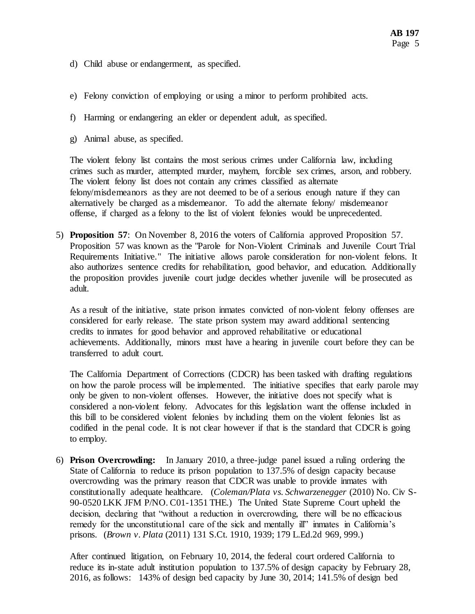- d) Child abuse or endangerment, as specified.
- e) Felony conviction of employing or using a minor to perform prohibited acts.
- f) Harming or endangering an elder or dependent adult, as specified.
- g) Animal abuse, as specified.

The violent felony list contains the most serious crimes under California law, including crimes such as murder, attempted murder, mayhem, forcible sex crimes, arson, and robbery. The violent felony list does not contain any crimes classified as alternate felony/misdemeanors as they are not deemed to be of a serious enough nature if they can alternatively be charged as a misdemeanor. To add the alternate felony/ misdemeanor offense, if charged as a felony to the list of violent felonies would be unprecedented.

5) **Proposition 57**: On November 8, 2016 the voters of California approved Proposition 57. Proposition 57 was known as the "Parole for Non-Violent Criminals and Juvenile Court Trial Requirements Initiative." The initiative allows parole consideration for non-violent felons. It also authorizes sentence credits for rehabilitation, good behavior, and education. Additionally the proposition provides juvenile court judge decides whether juvenile will be prosecuted as adult.

As a result of the initiative, state prison inmates convicted of non-violent felony offenses are considered for early release. The state prison system may award additional sentencing credits to inmates for good behavior and approved rehabilitative or educational achievements. Additionally, minors must have a hearing in juvenile court before they can be transferred to adult court.

The California Department of Corrections (CDCR) has been tasked with drafting regulations on how the parole process will be implemented. The initiative specifies that early parole may only be given to non-violent offenses. However, the initiative does not specify what is considered a non-violent felony. Advocates for this legislation want the offense included in this bill to be considered violent felonies by including them on the violent felonies list as codified in the penal code. It is not clear however if that is the standard that CDCR is going to employ.

6) **Prison Overcrowding:** In January 2010, a three-judge panel issued a ruling ordering the State of California to reduce its prison population to 137.5% of design capacity because overcrowding was the primary reason that CDCR was unable to provide inmates with constitutionally adequate healthcare. (*Coleman/Plata vs. Schwarzenegger* (2010) No. Civ S-90-0520 LKK JFM P/NO. C01-1351 THE.) The United State Supreme Court upheld the decision, declaring that "without a reduction in overcrowding, there will be no efficacious remedy for the unconstitutional care of the sick and mentally ill" inmates in California's prisons. (*Brown v. Plata* (2011) 131 S.Ct. 1910, 1939; 179 L.Ed.2d 969, 999.)

After continued litigation, on February 10, 2014, the federal court ordered California to reduce its in-state adult institution population to 137.5% of design capacity by February 28, 2016, as follows: 143% of design bed capacity by June 30, 2014; 141.5% of design bed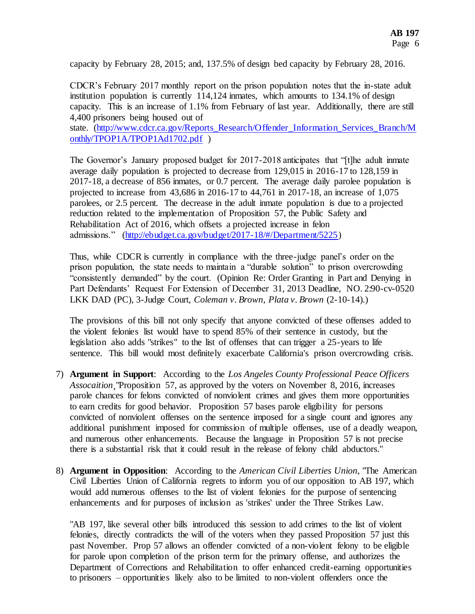capacity by February 28, 2015; and, 137.5% of design bed capacity by February 28, 2016.

CDCR's February 2017 monthly report on the prison population notes that the in-state adult institution population is currently 114,124 inmates, which amounts to 134.1% of design capacity. This is an increase of 1.1% from February of last year. Additionally, there are still 4,400 prisoners being housed out of

state. [\(http://www.cdcr.ca.gov/Reports\\_Research/Offender\\_Information\\_Services\\_Branch/M](http://www.cdcr.ca.gov/Reports_Research/Offender_Information_Services_Branch/Monthly/TPOP1A/TPOP1Ad1702.pdf) [onthly/TPOP1A/TPOP1Ad1702.pdf](http://www.cdcr.ca.gov/Reports_Research/Offender_Information_Services_Branch/Monthly/TPOP1A/TPOP1Ad1702.pdf) )

The Governor's January proposed budget for 2017-2018 anticipates that "[t]he adult inmate average daily population is projected to decrease from 129,015 in 2016-17 to 128,159 in 2017-18, a decrease of 856 inmates, or 0.7 percent. The average daily parolee population is projected to increase from 43,686 in 2016-17 to 44,761 in 2017-18, an increase of 1,075 parolees, or 2.5 percent. The decrease in the adult inmate population is due to a projected reduction related to the implementation of Proposition 57, the Public Safety and Rehabilitation Act of 2016, which offsets a projected increase in felon admissions." [\(http://ebudget.ca.gov/budget/2017-18/#/Department/5225\)](http://ebudget.ca.gov/budget/2017-18/#/Department/5225) 

Thus, while CDCR is currently in compliance with the three-judge panel's order on the prison population, the state needs to maintain a "durable solution" to prison overcrowding "consistently demanded" by the court. (Opinion Re: Order Granting in Part and Denying in Part Defendants' Request For Extension of December 31, 2013 Deadline, NO. 2:90-cv-0520 LKK DAD (PC), 3-Judge Court, *Coleman v. Brown*, *Plata v. Brown* (2-10-14).)

The provisions of this bill not only specify that anyone convicted of these offenses added to the violent felonies list would have to spend 85% of their sentence in custody, but the legislation also adds "strikes" to the list of offenses that can trigger a 25-years to life sentence. This bill would most definitely exacerbate California's prison overcrowding crisis.

- 7) **Argument in Support**: According to the *Los Angeles County Professional Peace Officers Assocaition¸*"Proposition 57, as approved by the voters on November 8, 2016, increases parole chances for felons convicted of nonviolent crimes and gives them more opportunities to earn credits for good behavior. Proposition 57 bases parole eligibility for persons convicted of nonviolent offenses on the sentence imposed for a single count and ignores any additional punishment imposed for commission of multiple offenses, use of a deadly weapon, and numerous other enhancements. Because the language in Proposition 57 is not precise there is a substantial risk that it could result in the release of felony child abductors."
- 8) **Argument in Opposition**: According to the *American Civil Liberties Union*, "The American Civil Liberties Union of California regrets to inform you of our opposition to AB 197, which would add numerous offenses to the list of violent felonies for the purpose of sentencing enhancements and for purposes of inclusion as 'strikes' under the Three Strikes Law.

"AB 197, like several other bills introduced this session to add crimes to the list of violent felonies, directly contradicts the will of the voters when they passed Proposition 57 just this past November. Prop 57 allows an offender convicted of a non-violent felony to be eligible for parole upon completion of the prison term for the primary offense, and authorizes the Department of Corrections and Rehabilitation to offer enhanced credit-earning opportunities to prisoners – opportunities likely also to be limited to non-violent offenders once the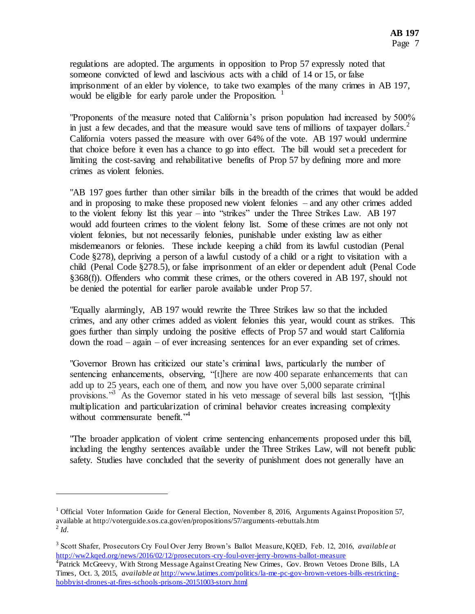regulations are adopted. The arguments in opposition to Prop 57 expressly noted that someone convicted of lewd and lascivious acts with a child of 14 or 15, or false imprisonment of an elder by violence, to take two examples of the many crimes in AB 197, would be eligible for early parole under the Proposition.<sup>1</sup>

"Proponents of the measure noted that California's prison population had increased by 500% in just a few decades, and that the measure would save tens of millions of taxpayer dollars.<sup>2</sup> California voters passed the measure with over 64% of the vote. AB 197 would undermine that choice before it even has a chance to go into effect. The bill would set a precedent for limiting the cost-saving and rehabilitative benefits of Prop 57 by defining more and more crimes as violent felonies.

"AB 197 goes further than other similar bills in the breadth of the crimes that would be added and in proposing to make these proposed new violent felonies – and any other crimes added to the violent felony list this year – into "strikes" under the Three Strikes Law. AB 197 would add fourteen crimes to the violent felony list. Some of these crimes are not only not violent felonies, but not necessarily felonies, punishable under existing law as either misdemeanors or felonies. These include keeping a child from its lawful custodian (Penal Code §278), depriving a person of a lawful custody of a child or a right to visitation with a child (Penal Code §278.5), or false imprisonment of an elder or dependent adult (Penal Code §368(f)). Offenders who commit these crimes, or the others covered in AB 197, should not be denied the potential for earlier parole available under Prop 57.

"Equally alarmingly, AB 197 would rewrite the Three Strikes law so that the included crimes, and any other crimes added as violent felonies this year, would count as strikes. This goes further than simply undoing the positive effects of Prop 57 and would start California down the road – again – of ever increasing sentences for an ever expanding set of crimes.

"Governor Brown has criticized our state's criminal laws, particularly the number of sentencing enhancements, observing, "[t]here are now 400 separate enhancements that can add up to 25 years, each one of them, and now you have over 5,000 separate criminal provisions."<sup>3</sup> As the Governor stated in his veto message of several bills last session, "[t]his multiplication and particularization of criminal behavior creates increasing complexity without commensurate benefit.<sup>"4</sup>

"The broader application of violent crime sentencing enhancements proposed under this bill, including the lengthy sentences available under the Three Strikes Law, will not benefit public safety. Studies have concluded that the severity of punishment does not generally have an

l

<sup>&</sup>lt;sup>1</sup> Official Voter Information Guide for General Election, November 8, 2016, Arguments Against Proposition 57, available at http://voterguide.sos.ca.gov/en/propositions/57/arguments-rebuttals.htm 2 *Id.*

<sup>3</sup> Scott Shafer, Prosecutors Cry Foul Over Jerry Brown's Ballot Measure, KQED, Feb. 12, 2016, *available at*  <http://ww2.kqed.org/news/2016/02/12/prosecutors-cry-foul-over-jerry-browns-ballot-measure>

<sup>&</sup>lt;sup>4</sup> Patrick McGreevy, With Strong Message Against Creating New Crimes, Gov. Brown Vetoes Drone Bills, LA Times, Oct. 3, 2015, *available at* [http://www.latimes.com/politics/la-me-pc-gov-brown-vetoes-bills-restricting](http://www.latimes.com/politics/la-me-pc-gov-brown-vetoes-bills-restricting-hobbyist-drones-at-fires-schools-prisons-20151003-story.html)[hobbyist-drones-at-fires-schools-prisons-20151003-story.html](http://www.latimes.com/politics/la-me-pc-gov-brown-vetoes-bills-restricting-hobbyist-drones-at-fires-schools-prisons-20151003-story.html)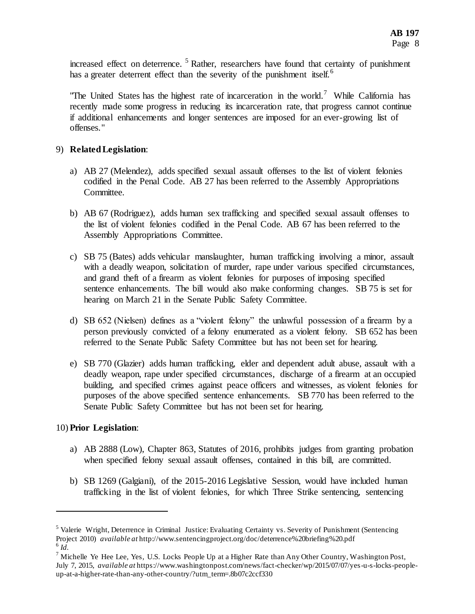increased effect on deterrence.<sup>5</sup> Rather, researchers have found that certainty of punishment has a greater deterrent effect than the severity of the punishment itself.<sup>6</sup>

"The United States has the highest rate of incarceration in the world.<sup>7</sup> While California has recently made some progress in reducing its incarceration rate, that progress cannot continue if additional enhancements and longer sentences are imposed for an ever-growing list of offenses."

# 9) **Related Legislation**:

- a) AB 27 (Melendez), adds specified sexual assault offenses to the list of violent felonies codified in the Penal Code. AB 27 has been referred to the Assembly Appropriations Committee.
- b) AB 67 (Rodriguez), adds human sex trafficking and specified sexual assault offenses to the list of violent felonies codified in the Penal Code. AB 67 has been referred to the Assembly Appropriations Committee.
- c) SB 75 (Bates) adds vehicular manslaughter, human trafficking involving a minor, assault with a deadly weapon, solicitation of murder, rape under various specified circumstances, and grand theft of a firearm as violent felonies for purposes of imposing specified sentence enhancements. The bill would also make conforming changes. SB 75 is set for hearing on March 21 in the Senate Public Safety Committee.
- d) SB 652 (Nielsen) defines as a "violent felony" the unlawful possession of a firearm by a person previously convicted of a felony enumerated as a violent felony. SB 652 has been referred to the Senate Public Safety Committee but has not been set for hearing.
- e) SB 770 (Glazier) adds human trafficking, elder and dependent adult abuse, assault with a deadly weapon, rape under specified circumstances, discharge of a firearm at an occupied building, and specified crimes against peace officers and witnesses, as violent felonies for purposes of the above specified sentence enhancements. SB 770 has been referred to the Senate Public Safety Committee but has not been set for hearing.

## 10) **Prior Legislation**:

l

- a) AB 2888 (Low), Chapter 863, Statutes of 2016, prohibits judges from granting probation when specified felony sexual assault offenses, contained in this bill, are committed.
- b) SB 1269 (Galgiani), of the 2015-2016 Legislative Session, would have included human trafficking in the list of violent felonies, for which Three Strike sentencing, sentencing

<sup>5</sup> Valerie Wright, Deterrence in Criminal Justice: Evaluating Certainty vs. Severity of Punishment (Sentencing Project 2010) *available at* http://www.sentencingproject.org/doc/deterrence%20briefing%20.pdf 6 *Id.*

 $7$  Michelle Ye Hee Lee, Yes, U.S. Locks People Up at a Higher Rate than Any Other Country, Washington Post, July 7, 2015, *available at* https://www.washingtonpost.com/news/fact-checker/wp/2015/07/07/yes-u-s-locks-peopleup-at-a-higher-rate-than-any-other-country/?utm\_term=.8b07c2ccf330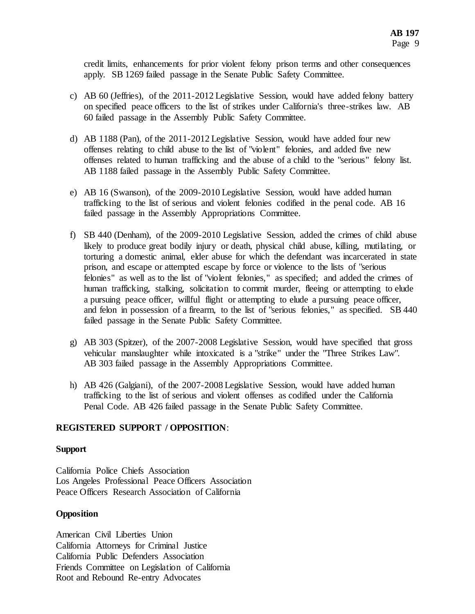credit limits, enhancements for prior violent felony prison terms and other consequences apply. SB 1269 failed passage in the Senate Public Safety Committee.

- c) AB 60 (Jeffries), of the 2011-2012 Legislative Session, would have added felony battery on specified peace officers to the list of strikes under California's three-strikes law. AB 60 failed passage in the Assembly Public Safety Committee.
- d) AB 1188 (Pan), of the 2011-2012 Legislative Session, would have added four new offenses relating to child abuse to the list of "violent" felonies, and added five new offenses related to human trafficking and the abuse of a child to the "serious" felony list. AB 1188 failed passage in the Assembly Public Safety Committee.
- e) AB 16 (Swanson), of the 2009-2010 Legislative Session, would have added human trafficking to the list of serious and violent felonies codified in the penal code. AB 16 failed passage in the Assembly Appropriations Committee.
- f) SB 440 (Denham), of the 2009-2010 Legislative Session, added the crimes of child abuse likely to produce great bodily injury or death, physical child abuse, killing, mutilating, or torturing a domestic animal, elder abuse for which the defendant was incarcerated in state prison, and escape or attempted escape by force or violence to the lists of "serious felonies" as well as to the list of "violent felonies," as specified; and added the crimes of human trafficking, stalking, solicitation to commit murder, fleeing or attempting to elude a pursuing peace officer, willful flight or attempting to elude a pursuing peace officer, and felon in possession of a firearm, to the list of "serious felonies," as specified. SB 440 failed passage in the Senate Public Safety Committee.
- g) AB 303 (Spitzer), of the 2007-2008 Legislative Session, would have specified that gross vehicular manslaughter while intoxicated is a "strike" under the "Three Strikes Law". AB 303 failed passage in the Assembly Appropriations Committee.
- h) AB 426 (Galgiani), of the 2007-2008 Legislative Session, would have added human trafficking to the list of serious and violent offenses as codified under the California Penal Code. AB 426 failed passage in the Senate Public Safety Committee.

### **REGISTERED SUPPORT / OPPOSITION**:

### **Support**

California Police Chiefs Association Los Angeles Professional Peace Officers Association Peace Officers Research Association of California

### **Opposition**

American Civil Liberties Union California Attorneys for Criminal Justice California Public Defenders Association Friends Committee on Legislation of California Root and Rebound Re-entry Advocates